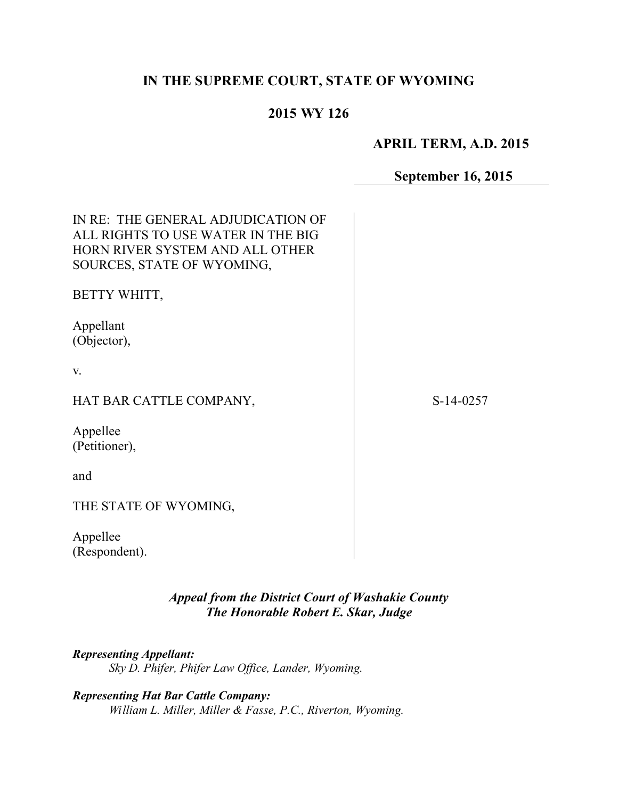# **IN THE SUPREME COURT, STATE OF WYOMING**

# **2015 WY 126**

### **APRIL TERM, A.D. 2015**

## **September 16, 2015**

| IN RE: THE GENERAL ADJUDICATION OF<br>ALL RIGHTS TO USE WATER IN THE BIG<br>HORN RIVER SYSTEM AND ALL OTHER<br>SOURCES, STATE OF WYOMING, |             |
|-------------------------------------------------------------------------------------------------------------------------------------------|-------------|
| BETTY WHITT,                                                                                                                              |             |
| Appellant<br>(Objector),                                                                                                                  |             |
| V.                                                                                                                                        |             |
| HAT BAR CATTLE COMPANY,                                                                                                                   | $S-14-0257$ |
| Appellee<br>(Petitioner),                                                                                                                 |             |
| and                                                                                                                                       |             |
| THE STATE OF WYOMING,                                                                                                                     |             |
| Appellee<br>(Respondent).                                                                                                                 |             |

*Appeal from the District Court of Washakie County The Honorable Robert E. Skar, Judge*

*Representing Appellant: Sky D. Phifer, Phifer Law Office, Lander, Wyoming.*

*Representing Hat Bar Cattle Company: William L. Miller, Miller & Fasse, P.C., Riverton, Wyoming.*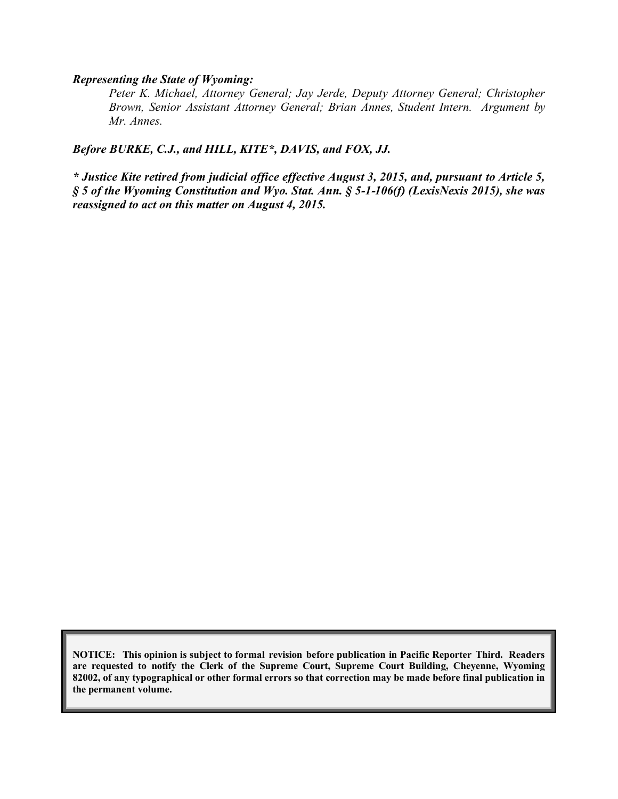#### *Representing the State of Wyoming:*

*Peter K. Michael, Attorney General; Jay Jerde, Deputy Attorney General; Christopher Brown, Senior Assistant Attorney General; Brian Annes, Student Intern. Argument by Mr. Annes.*

*Before BURKE, C.J., and HILL, KITE\*, DAVIS, and FOX, JJ.*

*\* Justice Kite retired from judicial office effective August 3, 2015, and, pursuant to Article 5, § 5 of the Wyoming Constitution and Wyo. Stat. Ann. § 5-1-106(f) (LexisNexis 2015), she was reassigned to act on this matter on August 4, 2015.*

**NOTICE: This opinion is subject to formal revision before publication in Pacific Reporter Third. Readers are requested to notify the Clerk of the Supreme Court, Supreme Court Building, Cheyenne, Wyoming 82002, of any typographical or other formal errors so that correction may be made before final publication in the permanent volume.**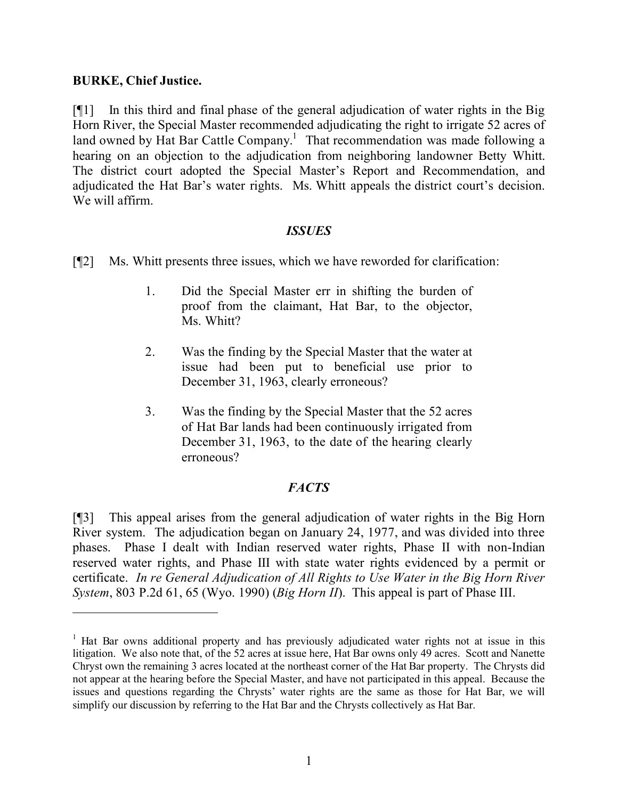### **BURKE, Chief Justice.**

 $\overline{a}$ 

[¶1] In this third and final phase of the general adjudication of water rights in the Big Horn River, the Special Master recommended adjudicating the right to irrigate 52 acres of land owned by Hat Bar Cattle Company.<sup>1</sup> That recommendation was made following a hearing on an objection to the adjudication from neighboring landowner Betty Whitt. The district court adopted the Special Master's Report and Recommendation, and adjudicated the Hat Bar's water rights. Ms. Whitt appeals the district court's decision. We will affirm.

### *ISSUES*

- [¶2] Ms. Whitt presents three issues, which we have reworded for clarification:
	- 1. Did the Special Master err in shifting the burden of proof from the claimant, Hat Bar, to the objector, Ms. Whitt?
	- 2. Was the finding by the Special Master that the water at issue had been put to beneficial use prior to December 31, 1963, clearly erroneous?
	- 3. Was the finding by the Special Master that the 52 acres of Hat Bar lands had been continuously irrigated from December 31, 1963, to the date of the hearing clearly erroneous?

## *FACTS*

[¶3] This appeal arises from the general adjudication of water rights in the Big Horn River system. The adjudication began on January 24, 1977, and was divided into three phases. Phase I dealt with Indian reserved water rights, Phase II with non-Indian reserved water rights, and Phase III with state water rights evidenced by a permit or certificate. *In re General Adjudication of All Rights to Use Water in the Big Horn River System*, 803 P.2d 61, 65 (Wyo. 1990) (*Big Horn II*). This appeal is part of Phase III.

<sup>&</sup>lt;sup>1</sup> Hat Bar owns additional property and has previously adjudicated water rights not at issue in this litigation. We also note that, of the 52 acres at issue here, Hat Bar owns only 49 acres. Scott and Nanette Chryst own the remaining 3 acres located at the northeast corner of the Hat Bar property. The Chrysts did not appear at the hearing before the Special Master, and have not participated in this appeal. Because the issues and questions regarding the Chrysts' water rights are the same as those for Hat Bar, we will simplify our discussion by referring to the Hat Bar and the Chrysts collectively as Hat Bar.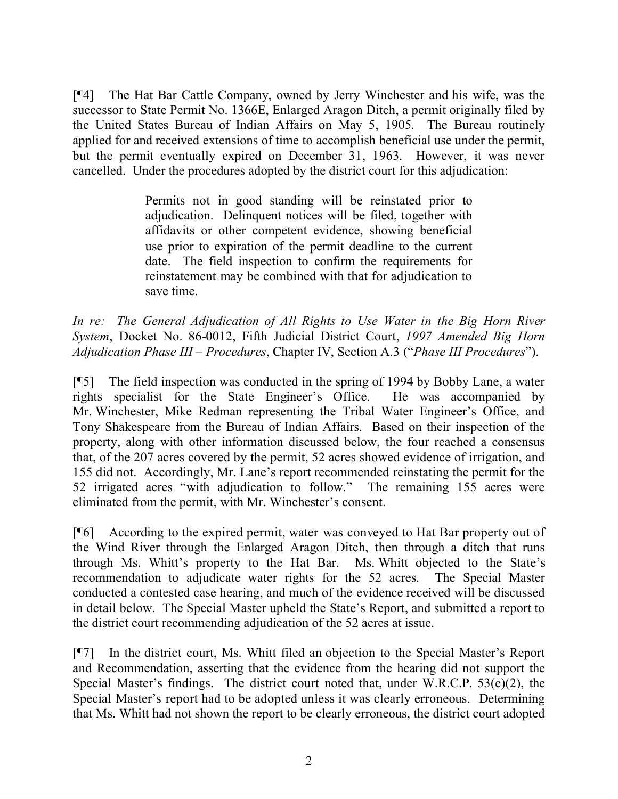[¶4] The Hat Bar Cattle Company, owned by Jerry Winchester and his wife, was the successor to State Permit No. 1366E, Enlarged Aragon Ditch, a permit originally filed by the United States Bureau of Indian Affairs on May 5, 1905. The Bureau routinely applied for and received extensions of time to accomplish beneficial use under the permit, but the permit eventually expired on December 31, 1963. However, it was never cancelled. Under the procedures adopted by the district court for this adjudication:

> Permits not in good standing will be reinstated prior to adjudication. Delinquent notices will be filed, together with affidavits or other competent evidence, showing beneficial use prior to expiration of the permit deadline to the current date. The field inspection to confirm the requirements for reinstatement may be combined with that for adjudication to save time.

*In re: The General Adjudication of All Rights to Use Water in the Big Horn River System*, Docket No. 86-0012, Fifth Judicial District Court, *1997 Amended Big Horn Adjudication Phase III – Procedures*, Chapter IV, Section A.3 ("*Phase III Procedures*").

[¶5] The field inspection was conducted in the spring of 1994 by Bobby Lane, a water rights specialist for the State Engineer's Office. He was accompanied by Mr. Winchester, Mike Redman representing the Tribal Water Engineer's Office, and Tony Shakespeare from the Bureau of Indian Affairs. Based on their inspection of the property, along with other information discussed below, the four reached a consensus that, of the 207 acres covered by the permit, 52 acres showed evidence of irrigation, and 155 did not. Accordingly, Mr. Lane's report recommended reinstating the permit for the 52 irrigated acres "with adjudication to follow." The remaining 155 acres were eliminated from the permit, with Mr. Winchester's consent.

[¶6] According to the expired permit, water was conveyed to Hat Bar property out of the Wind River through the Enlarged Aragon Ditch, then through a ditch that runs through Ms. Whitt's property to the Hat Bar. Ms. Whitt objected to the State's recommendation to adjudicate water rights for the 52 acres. The Special Master conducted a contested case hearing, and much of the evidence received will be discussed in detail below. The Special Master upheld the State's Report, and submitted a report to the district court recommending adjudication of the 52 acres at issue.

[¶7] In the district court, Ms. Whitt filed an objection to the Special Master's Report and Recommendation, asserting that the evidence from the hearing did not support the Special Master's findings. The district court noted that, under W.R.C.P. 53(e)(2), the Special Master's report had to be adopted unless it was clearly erroneous. Determining that Ms. Whitt had not shown the report to be clearly erroneous, the district court adopted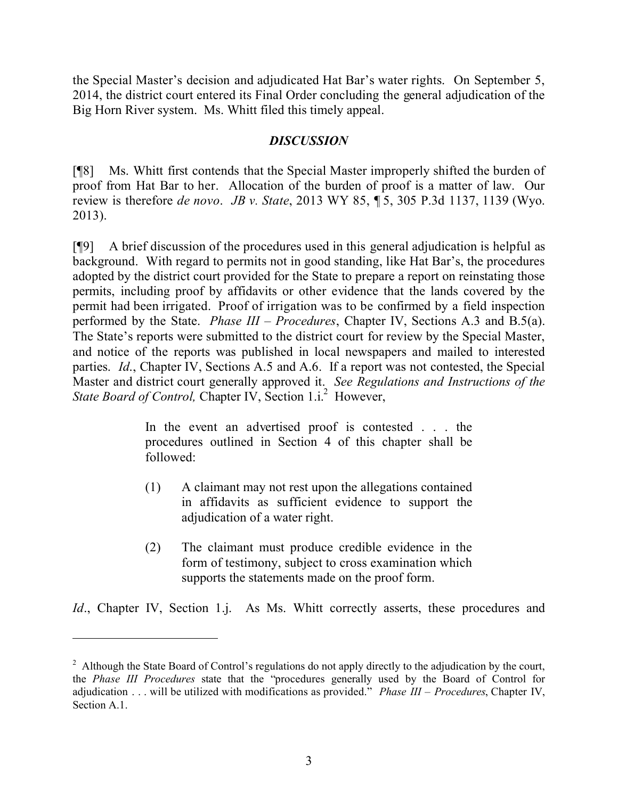the Special Master's decision and adjudicated Hat Bar's water rights. On September 5, 2014, the district court entered its Final Order concluding the general adjudication of the Big Horn River system. Ms. Whitt filed this timely appeal.

### *DISCUSSION*

[¶8] Ms. Whitt first contends that the Special Master improperly shifted the burden of proof from Hat Bar to her. Allocation of the burden of proof is a matter of law. Our review is therefore *de novo*. *JB v. State*, 2013 WY 85, ¶ 5, 305 P.3d 1137, 1139 (Wyo. 2013).

[¶9] A brief discussion of the procedures used in this general adjudication is helpful as background. With regard to permits not in good standing, like Hat Bar's, the procedures adopted by the district court provided for the State to prepare a report on reinstating those permits, including proof by affidavits or other evidence that the lands covered by the permit had been irrigated. Proof of irrigation was to be confirmed by a field inspection performed by the State. *Phase III – Procedures*, Chapter IV, Sections A.3 and B.5(a). The State's reports were submitted to the district court for review by the Special Master, and notice of the reports was published in local newspapers and mailed to interested parties. *Id*., Chapter IV, Sections A.5 and A.6. If a report was not contested, the Special Master and district court generally approved it. *See Regulations and Instructions of the*  State Board of Control, Chapter IV, Section 1.i.<sup>2</sup> However,

> In the event an advertised proof is contested . . . the procedures outlined in Section 4 of this chapter shall be followed:

- (1) A claimant may not rest upon the allegations contained in affidavits as sufficient evidence to support the adjudication of a water right.
- (2) The claimant must produce credible evidence in the form of testimony, subject to cross examination which supports the statements made on the proof form.

*Id.*, Chapter IV, Section 1.j. As Ms. Whitt correctly asserts, these procedures and

 $\overline{a}$ 

<sup>&</sup>lt;sup>2</sup> Although the State Board of Control's regulations do not apply directly to the adjudication by the court, the *Phase III Procedures* state that the "procedures generally used by the Board of Control for adjudication . . . will be utilized with modifications as provided." *Phase III – Procedures*, Chapter IV, Section A.1.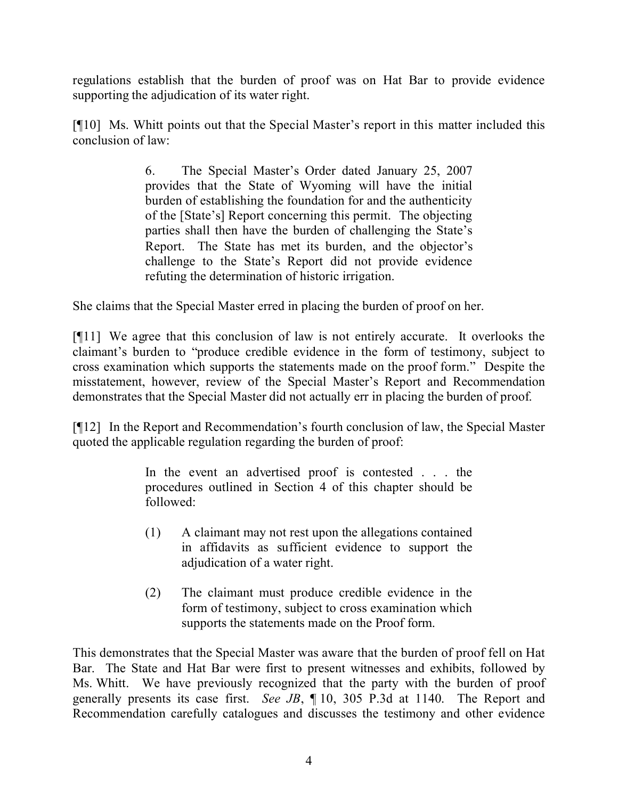regulations establish that the burden of proof was on Hat Bar to provide evidence supporting the adjudication of its water right.

[¶10] Ms. Whitt points out that the Special Master's report in this matter included this conclusion of law:

> 6. The Special Master's Order dated January 25, 2007 provides that the State of Wyoming will have the initial burden of establishing the foundation for and the authenticity of the [State's] Report concerning this permit. The objecting parties shall then have the burden of challenging the State's Report. The State has met its burden, and the objector's challenge to the State's Report did not provide evidence refuting the determination of historic irrigation.

She claims that the Special Master erred in placing the burden of proof on her.

[¶11] We agree that this conclusion of law is not entirely accurate. It overlooks the claimant's burden to "produce credible evidence in the form of testimony, subject to cross examination which supports the statements made on the proof form." Despite the misstatement, however, review of the Special Master's Report and Recommendation demonstrates that the Special Master did not actually err in placing the burden of proof.

[¶12] In the Report and Recommendation's fourth conclusion of law, the Special Master quoted the applicable regulation regarding the burden of proof:

> In the event an advertised proof is contested . . . the procedures outlined in Section 4 of this chapter should be followed:

- (1) A claimant may not rest upon the allegations contained in affidavits as sufficient evidence to support the adjudication of a water right.
- (2) The claimant must produce credible evidence in the form of testimony, subject to cross examination which supports the statements made on the Proof form.

This demonstrates that the Special Master was aware that the burden of proof fell on Hat Bar. The State and Hat Bar were first to present witnesses and exhibits, followed by Ms. Whitt. We have previously recognized that the party with the burden of proof generally presents its case first. *See JB*, ¶ 10, 305 P.3d at 1140. The Report and Recommendation carefully catalogues and discusses the testimony and other evidence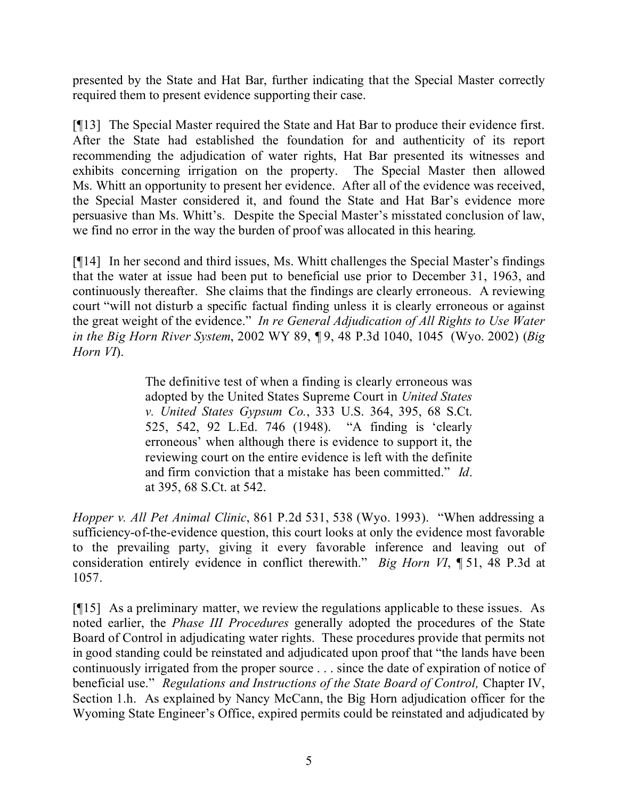presented by the State and Hat Bar, further indicating that the Special Master correctly required them to present evidence supporting their case.

[¶13] The Special Master required the State and Hat Bar to produce their evidence first. After the State had established the foundation for and authenticity of its report recommending the adjudication of water rights, Hat Bar presented its witnesses and exhibits concerning irrigation on the property. The Special Master then allowed Ms. Whitt an opportunity to present her evidence. After all of the evidence was received, the Special Master considered it, and found the State and Hat Bar's evidence more persuasive than Ms. Whitt's. Despite the Special Master's misstated conclusion of law, we find no error in the way the burden of proof was allocated in this hearing.

[¶14] In her second and third issues, Ms. Whitt challenges the Special Master's findings that the water at issue had been put to beneficial use prior to December 31, 1963, and continuously thereafter. She claims that the findings are clearly erroneous. A reviewing court "will not disturb a specific factual finding unless it is clearly erroneous or against the great weight of the evidence." *In re General Adjudication of All Rights to Use Water in the Big Horn River System*, 2002 WY 89, ¶ 9, 48 P.3d 1040, 1045 (Wyo. 2002) (*Big Horn VI*).

> The definitive test of when a finding is clearly erroneous was adopted by the United States Supreme Court in *United States v. United States Gypsum Co.*, 333 U.S. 364, 395, 68 S.Ct. 525, 542, 92 L.Ed. 746 (1948). "A finding is 'clearly erroneous' when although there is evidence to support it, the reviewing court on the entire evidence is left with the definite and firm conviction that a mistake has been committed." *Id*. at 395, 68 S.Ct. at 542.

*Hopper v. All Pet Animal Clinic*, 861 P.2d 531, 538 (Wyo. 1993). "When addressing a sufficiency-of-the-evidence question, this court looks at only the evidence most favorable to the prevailing party, giving it every favorable inference and leaving out of consideration entirely evidence in conflict therewith." *Big Horn VI*, ¶ 51, 48 P.3d at 1057.

[¶15] As a preliminary matter, we review the regulations applicable to these issues. As noted earlier, the *Phase III Procedures* generally adopted the procedures of the State Board of Control in adjudicating water rights. These procedures provide that permits not in good standing could be reinstated and adjudicated upon proof that "the lands have been continuously irrigated from the proper source . . . since the date of expiration of notice of beneficial use." *Regulations and Instructions of the State Board of Control, Chapter IV,* Section 1.h. As explained by Nancy McCann, the Big Horn adjudication officer for the Wyoming State Engineer's Office, expired permits could be reinstated and adjudicated by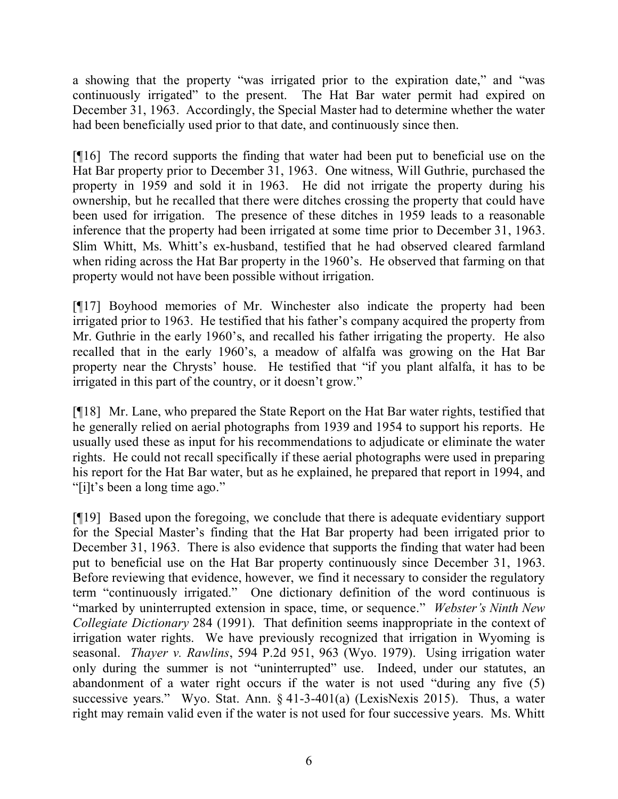a showing that the property "was irrigated prior to the expiration date," and "was continuously irrigated" to the present. The Hat Bar water permit had expired on December 31, 1963. Accordingly, the Special Master had to determine whether the water had been beneficially used prior to that date, and continuously since then.

[¶16] The record supports the finding that water had been put to beneficial use on the Hat Bar property prior to December 31, 1963. One witness, Will Guthrie, purchased the property in 1959 and sold it in 1963. He did not irrigate the property during his ownership, but he recalled that there were ditches crossing the property that could have been used for irrigation. The presence of these ditches in 1959 leads to a reasonable inference that the property had been irrigated at some time prior to December 31, 1963. Slim Whitt, Ms. Whitt's ex-husband, testified that he had observed cleared farmland when riding across the Hat Bar property in the 1960's. He observed that farming on that property would not have been possible without irrigation.

[¶17] Boyhood memories of Mr. Winchester also indicate the property had been irrigated prior to 1963. He testified that his father's company acquired the property from Mr. Guthrie in the early 1960's, and recalled his father irrigating the property. He also recalled that in the early 1960's, a meadow of alfalfa was growing on the Hat Bar property near the Chrysts' house. He testified that "if you plant alfalfa, it has to be irrigated in this part of the country, or it doesn't grow."

[¶18] Mr. Lane, who prepared the State Report on the Hat Bar water rights, testified that he generally relied on aerial photographs from 1939 and 1954 to support his reports. He usually used these as input for his recommendations to adjudicate or eliminate the water rights. He could not recall specifically if these aerial photographs were used in preparing his report for the Hat Bar water, but as he explained, he prepared that report in 1994, and "[i]t's been a long time ago."

[¶19] Based upon the foregoing, we conclude that there is adequate evidentiary support for the Special Master's finding that the Hat Bar property had been irrigated prior to December 31, 1963. There is also evidence that supports the finding that water had been put to beneficial use on the Hat Bar property continuously since December 31, 1963. Before reviewing that evidence, however, we find it necessary to consider the regulatory term "continuously irrigated." One dictionary definition of the word continuous is "marked by uninterrupted extension in space, time, or sequence." *Webster's Ninth New Collegiate Dictionary* 284 (1991). That definition seems inappropriate in the context of irrigation water rights. We have previously recognized that irrigation in Wyoming is seasonal. *Thayer v. Rawlins*, 594 P.2d 951, 963 (Wyo. 1979). Using irrigation water only during the summer is not "uninterrupted" use. Indeed, under our statutes, an abandonment of a water right occurs if the water is not used "during any five (5) successive years." Wyo. Stat. Ann. § 41-3-401(a) (LexisNexis 2015). Thus, a water right may remain valid even if the water is not used for four successive years. Ms. Whitt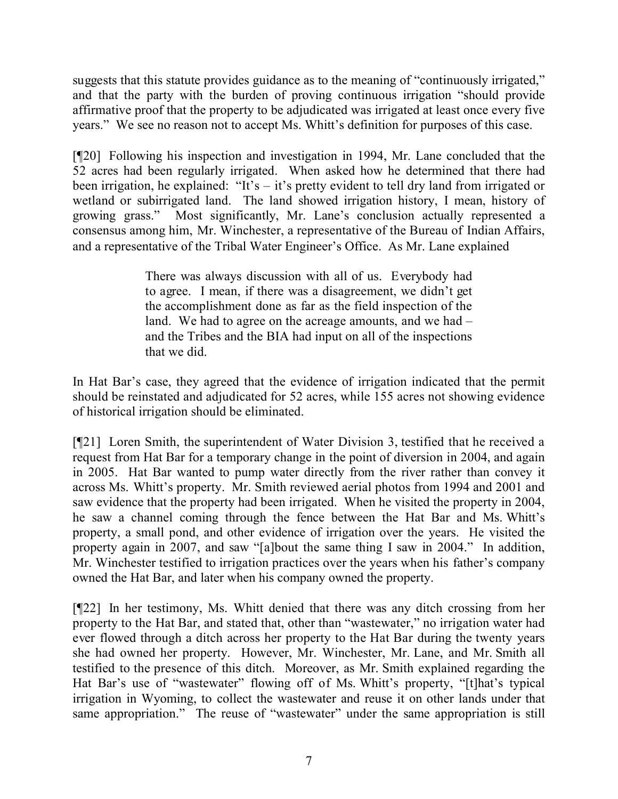suggests that this statute provides guidance as to the meaning of "continuously irrigated," and that the party with the burden of proving continuous irrigation "should provide affirmative proof that the property to be adjudicated was irrigated at least once every five years." We see no reason not to accept Ms. Whitt's definition for purposes of this case.

[¶20] Following his inspection and investigation in 1994, Mr. Lane concluded that the 52 acres had been regularly irrigated. When asked how he determined that there had been irrigation, he explained: "It's – it's pretty evident to tell dry land from irrigated or wetland or subirrigated land. The land showed irrigation history, I mean, history of growing grass." Most significantly, Mr. Lane's conclusion actually represented a consensus among him, Mr. Winchester, a representative of the Bureau of Indian Affairs, and a representative of the Tribal Water Engineer's Office. As Mr. Lane explained

> There was always discussion with all of us. Everybody had to agree. I mean, if there was a disagreement, we didn't get the accomplishment done as far as the field inspection of the land. We had to agree on the acreage amounts, and we had – and the Tribes and the BIA had input on all of the inspections that we did.

In Hat Bar's case, they agreed that the evidence of irrigation indicated that the permit should be reinstated and adjudicated for 52 acres, while 155 acres not showing evidence of historical irrigation should be eliminated.

[¶21] Loren Smith, the superintendent of Water Division 3, testified that he received a request from Hat Bar for a temporary change in the point of diversion in 2004, and again in 2005. Hat Bar wanted to pump water directly from the river rather than convey it across Ms. Whitt's property. Mr. Smith reviewed aerial photos from 1994 and 2001 and saw evidence that the property had been irrigated. When he visited the property in 2004, he saw a channel coming through the fence between the Hat Bar and Ms. Whitt's property, a small pond, and other evidence of irrigation over the years. He visited the property again in 2007, and saw "[a]bout the same thing I saw in 2004." In addition, Mr. Winchester testified to irrigation practices over the years when his father's company owned the Hat Bar, and later when his company owned the property.

[¶22] In her testimony, Ms. Whitt denied that there was any ditch crossing from her property to the Hat Bar, and stated that, other than "wastewater," no irrigation water had ever flowed through a ditch across her property to the Hat Bar during the twenty years she had owned her property. However, Mr. Winchester, Mr. Lane, and Mr. Smith all testified to the presence of this ditch. Moreover, as Mr. Smith explained regarding the Hat Bar's use of "wastewater" flowing off of Ms. Whitt's property, "[t]hat's typical irrigation in Wyoming, to collect the wastewater and reuse it on other lands under that same appropriation." The reuse of "wastewater" under the same appropriation is still